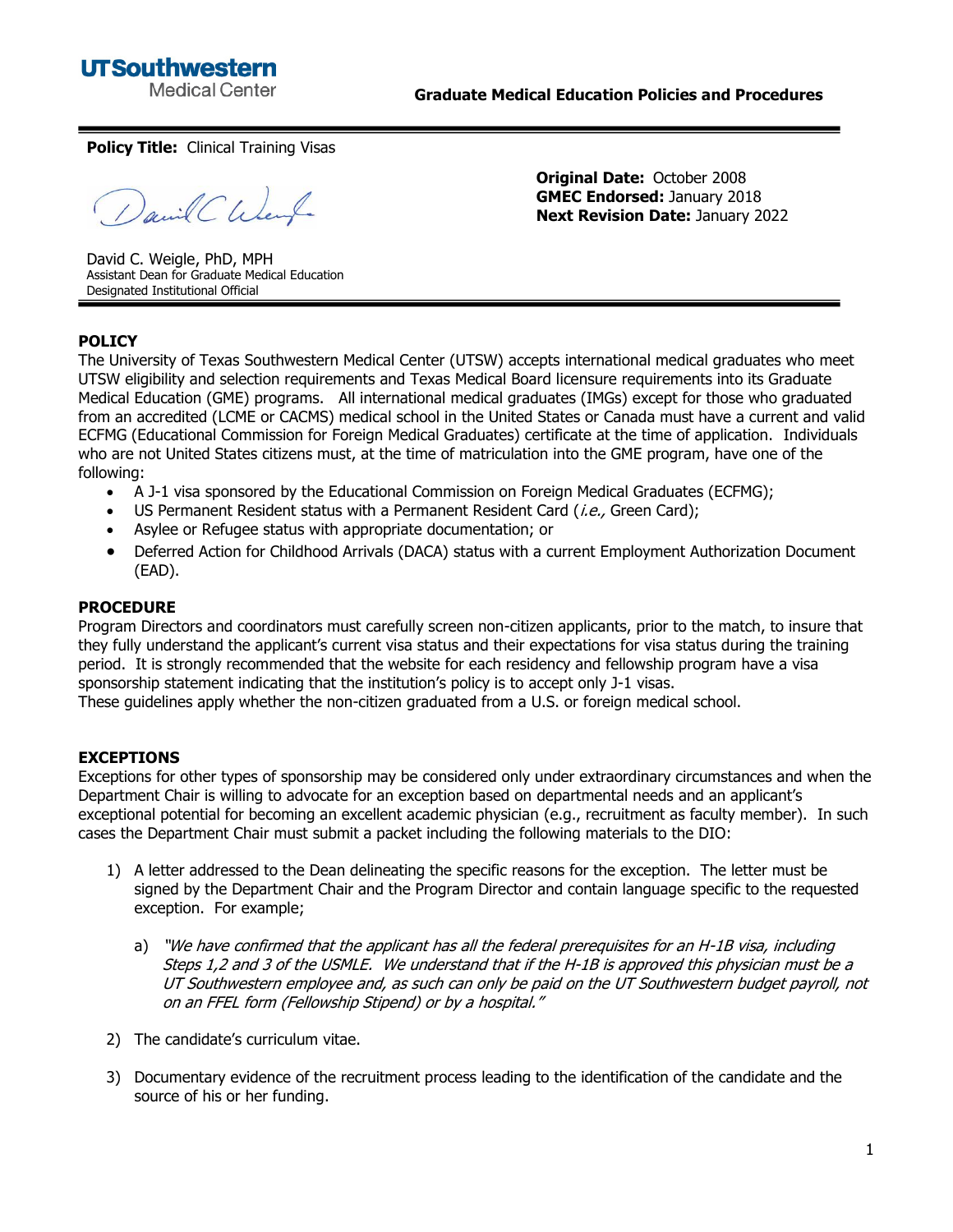**UTSouthwestern Medical Center** 

**Policy Title: Clinical Training Visas** 

David CWent

**Original Date:** October 2008 **GMEC Endorsed:** January 2018 **Next Revision Date:** January 2022

David C. Weigle, PhD, MPH Assistant Dean for Graduate Medical Education Designated Institutional Official

## **POLICY**

The University of Texas Southwestern Medical Center (UTSW) accepts international medical graduates who meet UTSW eligibility and selection requirements and Texas Medical Board licensure requirements into its Graduate Medical Education (GME) programs. All international medical graduates (IMGs) except for those who graduated from an accredited (LCME or CACMS) medical school in the United States or Canada must have a current and valid ECFMG (Educational Commission for Foreign Medical Graduates) certificate at the time of application. Individuals who are not United States citizens must, at the time of matriculation into the GME program, have one of the following:

- A J-1 visa sponsored by the Educational Commission on Foreign Medical Graduates (ECFMG);
- US Permanent Resident status with a Permanent Resident Card (*i.e.*, Green Card);
- Asylee or Refugee status with appropriate documentation; or
- Deferred Action for Childhood Arrivals (DACA) status with a current Employment Authorization Document (EAD).

## **PROCEDURE**

Program Directors and coordinators must carefully screen non-citizen applicants, prior to the match, to insure that they fully understand the applicant's current visa status and their expectations for visa status during the training period. It is strongly recommended that the website for each residency and fellowship program have a visa sponsorship statement indicating that the institution's policy is to accept only J-1 visas. These guidelines apply whether the non-citizen graduated from a U.S. or foreign medical school.

## **EXCEPTIONS**

Exceptions for other types of sponsorship may be considered only under extraordinary circumstances and when the Department Chair is willing to advocate for an exception based on departmental needs and an applicant's exceptional potential for becoming an excellent academic physician (e.g., recruitment as faculty member). In such cases the Department Chair must submit a packet including the following materials to the DIO:

- 1) A letter addressed to the Dean delineating the specific reasons for the exception. The letter must be signed by the Department Chair and the Program Director and contain language specific to the requested exception. For example;
	- a) "We have confirmed that the applicant has all the federal prerequisites for an H-1B visa, including Steps 1,2 and 3 of the USMLE. We understand that if the H-1B is approved this physician must be a UT Southwestern employee and, as such can only be paid on the UT Southwestern budget payroll, not on an FFEL form (Fellowship Stipend) or by a hospital."
- 2) The candidate's curriculum vitae.
- 3) Documentary evidence of the recruitment process leading to the identification of the candidate and the source of his or her funding.